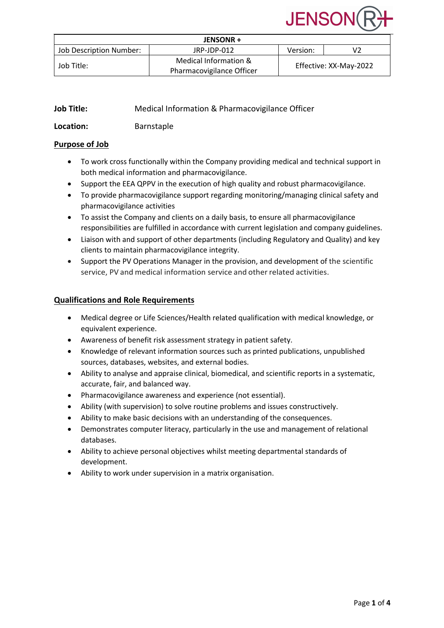# **JENSOI**

| JENSONR +               |                                                    |                        |    |
|-------------------------|----------------------------------------------------|------------------------|----|
| Job Description Number: | JRP-JDP-012                                        | Version:               | V2 |
| Job Title:              | Medical Information &<br>Pharmacovigilance Officer | Effective: XX-May-2022 |    |

| <b>Job Title:</b> | Medical Information & Pharmacovigilance Officer |
|-------------------|-------------------------------------------------|
| Location:         | <b>Barnstaple</b>                               |

# **Purpose of Job**

- To work cross functionally within the Company providing medical and technical support in both medical information and pharmacovigilance.
- Support the EEA QPPV in the execution of high quality and robust pharmacovigilance.
- To provide pharmacovigilance support regarding monitoring/managing clinical safety and pharmacovigilance activities
- To assist the Company and clients on a daily basis, to ensure all pharmacovigilance responsibilities are fulfilled in accordance with current legislation and company guidelines.
- Liaison with and support of other departments (including Regulatory and Quality) and key clients to maintain pharmacovigilance integrity.
- Support the PV Operations Manager in the provision, and development of the scientific service, PV and medical information service and other related activities.

# **Qualifications and Role Requirements**

- Medical degree or Life Sciences/Health related qualification with medical knowledge, or equivalent experience.
- Awareness of benefit risk assessment strategy in patient safety.
- Knowledge of relevant information sources such as printed publications, unpublished sources, databases, websites, and external bodies.
- Ability to analyse and appraise clinical, biomedical, and scientific reports in a systematic, accurate, fair, and balanced way.
- Pharmacovigilance awareness and experience (not essential).
- Ability (with supervision) to solve routine problems and issues constructively.
- Ability to make basic decisions with an understanding of the consequences.
- Demonstrates computer literacy, particularly in the use and management of relational databases.
- Ability to achieve personal objectives whilst meeting departmental standards of development.
- Ability to work under supervision in a matrix organisation.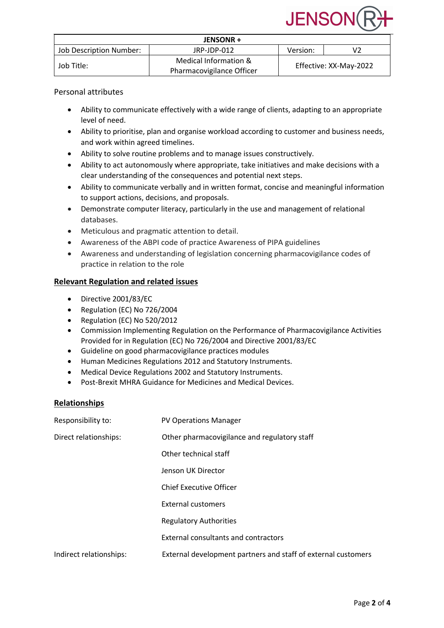

| JENSONR +               |                                                    |                        |    |
|-------------------------|----------------------------------------------------|------------------------|----|
| Job Description Number: | JRP-JDP-012                                        | Version:               | V2 |
| Job Title:              | Medical Information &<br>Pharmacovigilance Officer | Effective: XX-May-2022 |    |

#### Personal attributes

- Ability to communicate effectively with a wide range of clients, adapting to an appropriate level of need.
- Ability to prioritise, plan and organise workload according to customer and business needs, and work within agreed timelines.
- Ability to solve routine problems and to manage issues constructively.
- Ability to act autonomously where appropriate, take initiatives and make decisions with a clear understanding of the consequences and potential next steps.
- Ability to communicate verbally and in written format, concise and meaningful information to support actions, decisions, and proposals.
- Demonstrate computer literacy, particularly in the use and management of relational databases.
- Meticulous and pragmatic attention to detail.
- Awareness of the ABPI code of practice Awareness of PIPA guidelines
- Awareness and understanding of legislation concerning pharmacovigilance codes of practice in relation to the role

#### **Relevant Regulation and related issues**

- Directive 2001/83/EC
- Regulation (EC) No 726/2004
- Regulation (EC) No 520/2012
- Commission Implementing Regulation on the Performance of Pharmacovigilance Activities Provided for in Regulation (EC) No 726/2004 and Directive 2001/83/EC
- Guideline on good pharmacovigilance practices modules
- Human Medicines Regulations 2012 and Statutory Instruments.
- Medical Device Regulations 2002 and Statutory Instruments.
- Post-Brexit MHRA Guidance for Medicines and Medical Devices.

#### **Relationships**

| Responsibility to:      | <b>PV Operations Manager</b>                                  |
|-------------------------|---------------------------------------------------------------|
| Direct relationships:   | Other pharmacovigilance and regulatory staff                  |
|                         | Other technical staff                                         |
|                         | Jenson UK Director                                            |
|                         | <b>Chief Executive Officer</b>                                |
|                         | <b>External customers</b>                                     |
|                         | <b>Regulatory Authorities</b>                                 |
|                         | External consultants and contractors                          |
| Indirect relationships: | External development partners and staff of external customers |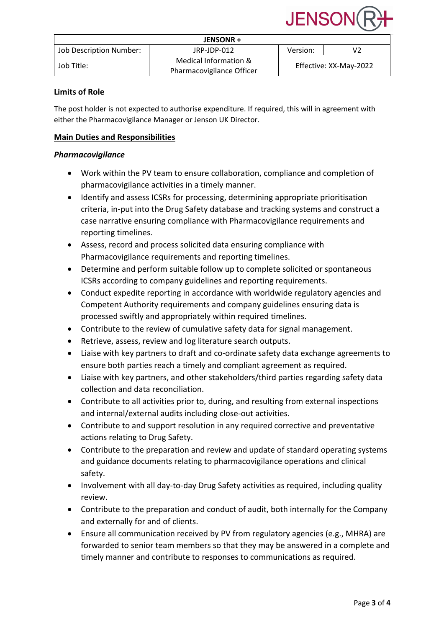

| JENSONR +               |                                                    |                        |    |
|-------------------------|----------------------------------------------------|------------------------|----|
| Job Description Number: | JRP-JDP-012                                        | Version:               | V2 |
| Job Title:              | Medical Information &<br>Pharmacovigilance Officer | Effective: XX-May-2022 |    |

## **Limits of Role**

The post holder is not expected to authorise expenditure. If required, this will in agreement with either the Pharmacovigilance Manager or Jenson UK Director.

# **Main Duties and Responsibilities**

#### *Pharmacovigilance*

- Work within the PV team to ensure collaboration, compliance and completion of pharmacovigilance activities in a timely manner.
- Identify and assess ICSRs for processing, determining appropriate prioritisation criteria, in-put into the Drug Safety database and tracking systems and construct a case narrative ensuring compliance with Pharmacovigilance requirements and reporting timelines.
- Assess, record and process solicited data ensuring compliance with Pharmacovigilance requirements and reporting timelines.
- Determine and perform suitable follow up to complete solicited or spontaneous ICSRs according to company guidelines and reporting requirements.
- Conduct expedite reporting in accordance with worldwide regulatory agencies and Competent Authority requirements and company guidelines ensuring data is processed swiftly and appropriately within required timelines.
- Contribute to the review of cumulative safety data for signal management.
- Retrieve, assess, review and log literature search outputs.
- Liaise with key partners to draft and co-ordinate safety data exchange agreements to ensure both parties reach a timely and compliant agreement as required.
- Liaise with key partners, and other stakeholders/third parties regarding safety data collection and data reconciliation.
- Contribute to all activities prior to, during, and resulting from external inspections and internal/external audits including close-out activities.
- Contribute to and support resolution in any required corrective and preventative actions relating to Drug Safety.
- Contribute to the preparation and review and update of standard operating systems and guidance documents relating to pharmacovigilance operations and clinical safety.
- Involvement with all day-to-day Drug Safety activities as required, including quality review.
- Contribute to the preparation and conduct of audit, both internally for the Company and externally for and of clients.
- Ensure all communication received by PV from regulatory agencies (e.g., MHRA) are forwarded to senior team members so that they may be answered in a complete and timely manner and contribute to responses to communications as required.